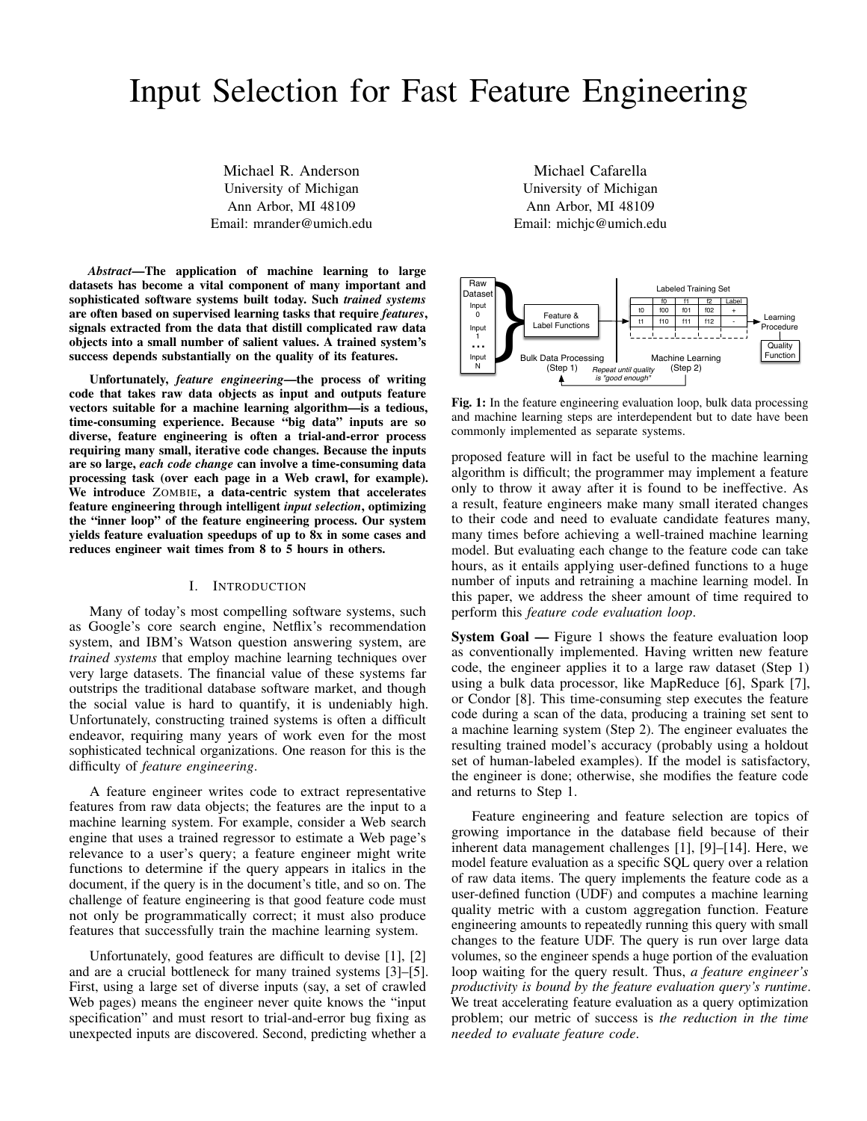# Input Selection for Fast Feature Engineering

Michael R. Anderson University of Michigan Ann Arbor, MI 48109 Email: mrander@umich.edu

*Abstract*—The application of machine learning to large datasets has become a vital component of many important and sophisticated software systems built today. Such *trained systems* are often based on supervised learning tasks that require *features*, signals extracted from the data that distill complicated raw data objects into a small number of salient values. A trained system's success depends substantially on the quality of its features.

Unfortunately, *feature engineering*—the process of writing code that takes raw data objects as input and outputs feature vectors suitable for a machine learning algorithm—is a tedious, time-consuming experience. Because "big data" inputs are so diverse, feature engineering is often a trial-and-error process requiring many small, iterative code changes. Because the inputs are so large, *each code change* can involve a time-consuming data processing task (over each page in a Web crawl, for example). We introduce ZOMBIE, a data-centric system that accelerates feature engineering through intelligent *input selection*, optimizing the "inner loop" of the feature engineering process. Our system yields feature evaluation speedups of up to 8x in some cases and reduces engineer wait times from 8 to 5 hours in others.

#### I. INTRODUCTION

Many of today's most compelling software systems, such as Google's core search engine, Netflix's recommendation system, and IBM's Watson question answering system, are *trained systems* that employ machine learning techniques over very large datasets. The financial value of these systems far outstrips the traditional database software market, and though the social value is hard to quantify, it is undeniably high. Unfortunately, constructing trained systems is often a difficult endeavor, requiring many years of work even for the most sophisticated technical organizations. One reason for this is the difficulty of *feature engineering*.

A feature engineer writes code to extract representative features from raw data objects; the features are the input to a machine learning system. For example, consider a Web search engine that uses a trained regressor to estimate a Web page's relevance to a user's query; a feature engineer might write functions to determine if the query appears in italics in the document, if the query is in the document's title, and so on. The challenge of feature engineering is that good feature code must not only be programmatically correct; it must also produce features that successfully train the machine learning system.

Unfortunately, good features are difficult to devise [1], [2] and are a crucial bottleneck for many trained systems [3]–[5]. First, using a large set of diverse inputs (say, a set of crawled Web pages) means the engineer never quite knows the "input specification" and must resort to trial-and-error bug fixing as unexpected inputs are discovered. Second, predicting whether a

Michael Cafarella University of Michigan Ann Arbor, MI 48109 Email: michjc@umich.edu



Fig. 1: In the feature engineering evaluation loop, bulk data processing and machine learning steps are interdependent but to date have been commonly implemented as separate systems.

proposed feature will in fact be useful to the machine learning algorithm is difficult; the programmer may implement a feature only to throw it away after it is found to be ineffective. As a result, feature engineers make many small iterated changes to their code and need to evaluate candidate features many, many times before achieving a well-trained machine learning model. But evaluating each change to the feature code can take hours, as it entails applying user-defined functions to a huge number of inputs and retraining a machine learning model. In this paper, we address the sheer amount of time required to perform this *feature code evaluation loop*.

System Goal — Figure 1 shows the feature evaluation loop as conventionally implemented. Having written new feature code, the engineer applies it to a large raw dataset (Step 1) using a bulk data processor, like MapReduce [6], Spark [7], or Condor [8]. This time-consuming step executes the feature code during a scan of the data, producing a training set sent to a machine learning system (Step 2). The engineer evaluates the resulting trained model's accuracy (probably using a holdout set of human-labeled examples). If the model is satisfactory, the engineer is done; otherwise, she modifies the feature code and returns to Step 1.

Feature engineering and feature selection are topics of growing importance in the database field because of their inherent data management challenges [1], [9]–[14]. Here, we model feature evaluation as a specific SQL query over a relation of raw data items. The query implements the feature code as a user-defined function (UDF) and computes a machine learning quality metric with a custom aggregation function. Feature engineering amounts to repeatedly running this query with small changes to the feature UDF. The query is run over large data volumes, so the engineer spends a huge portion of the evaluation loop waiting for the query result. Thus, *a feature engineer's productivity is bound by the feature evaluation query's runtime*. We treat accelerating feature evaluation as a query optimization problem; our metric of success is *the reduction in the time needed to evaluate feature code*.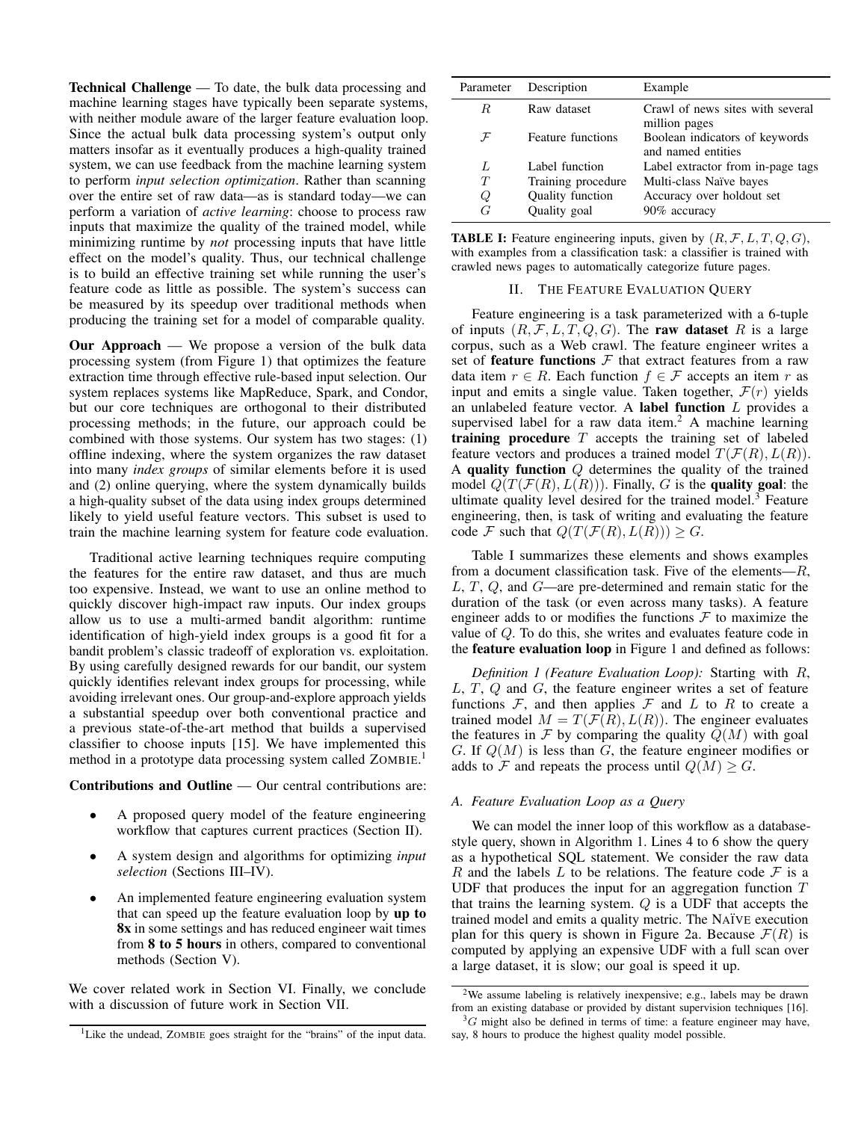Technical Challenge — To date, the bulk data processing and machine learning stages have typically been separate systems, with neither module aware of the larger feature evaluation loop. Since the actual bulk data processing system's output only matters insofar as it eventually produces a high-quality trained system, we can use feedback from the machine learning system to perform *input selection optimization*. Rather than scanning over the entire set of raw data—as is standard today—we can perform a variation of *active learning*: choose to process raw inputs that maximize the quality of the trained model, while minimizing runtime by *not* processing inputs that have little effect on the model's quality. Thus, our technical challenge is to build an effective training set while running the user's feature code as little as possible. The system's success can be measured by its speedup over traditional methods when producing the training set for a model of comparable quality.

Our Approach — We propose a version of the bulk data processing system (from Figure 1) that optimizes the feature extraction time through effective rule-based input selection. Our system replaces systems like MapReduce, Spark, and Condor, but our core techniques are orthogonal to their distributed processing methods; in the future, our approach could be combined with those systems. Our system has two stages: (1) offline indexing, where the system organizes the raw dataset into many *index groups* of similar elements before it is used and (2) online querying, where the system dynamically builds a high-quality subset of the data using index groups determined likely to yield useful feature vectors. This subset is used to train the machine learning system for feature code evaluation.

Traditional active learning techniques require computing the features for the entire raw dataset, and thus are much too expensive. Instead, we want to use an online method to quickly discover high-impact raw inputs. Our index groups allow us to use a multi-armed bandit algorithm: runtime identification of high-yield index groups is a good fit for a bandit problem's classic tradeoff of exploration vs. exploitation. By using carefully designed rewards for our bandit, our system quickly identifies relevant index groups for processing, while avoiding irrelevant ones. Our group-and-explore approach yields a substantial speedup over both conventional practice and a previous state-of-the-art method that builds a supervised classifier to choose inputs [15]. We have implemented this method in a prototype data processing system called ZOMBIE. 1

Contributions and Outline — Our central contributions are:

- A proposed query model of the feature engineering workflow that captures current practices (Section II).
- A system design and algorithms for optimizing *input selection* (Sections III–IV).
- An implemented feature engineering evaluation system that can speed up the feature evaluation loop by up to 8x in some settings and has reduced engineer wait times from 8 to 5 hours in others, compared to conventional methods (Section V).

We cover related work in Section VI. Finally, we conclude with a discussion of future work in Section VII.

| Parameter     | Description        | Example                                              |
|---------------|--------------------|------------------------------------------------------|
| R.            | Raw dataset        | Crawl of news sites with several<br>million pages    |
| $\mathcal{F}$ | Feature functions  | Boolean indicators of keywords<br>and named entities |
| L             | Label function     | Label extractor from in-page tags                    |
| T             | Training procedure | Multi-class Naïve bayes                              |
| Q             | Quality function   | Accuracy over holdout set                            |
| G             | Quality goal       | 90% accuracy                                         |

| <b>TABLE I:</b> Feature engineering inputs, given by $(R, \mathcal{F}, L, T, Q, G)$ , |
|---------------------------------------------------------------------------------------|
| with examples from a classification task: a classifier is trained with                |
| crawled news pages to automatically categorize future pages.                          |

#### II. THE FEATURE EVALUATION QUERY

Feature engineering is a task parameterized with a 6-tuple of inputs  $(R, \mathcal{F}, L, T, Q, G)$ . The raw dataset R is a large corpus, such as a Web crawl. The feature engineer writes a set of **feature functions**  $F$  that extract features from a raw data item  $r \in R$ . Each function  $f \in \mathcal{F}$  accepts an item r as input and emits a single value. Taken together,  $\mathcal{F}(r)$  yields an unlabeled feature vector. A label function L provides a supervised label for a raw data item.<sup>2</sup> A machine learning training procedure  $T$  accepts the training set of labeled feature vectors and produces a trained model  $T(F(R), L(R))$ . A quality function Q determines the quality of the trained model  $Q(T(F(R), L(R)))$ . Finally, G is the quality goal: the ultimate quality level desired for the trained model.<sup>3</sup> Feature engineering, then, is task of writing and evaluating the feature code F such that  $Q(T(F(R), L(R))) \geq G$ .

Table I summarizes these elements and shows examples from a document classification task. Five of the elements— $R$ , L, T, Q, and G—are pre-determined and remain static for the duration of the task (or even across many tasks). A feature engineer adds to or modifies the functions  $\mathcal F$  to maximize the value of Q. To do this, she writes and evaluates feature code in the feature evaluation loop in Figure 1 and defined as follows:

*Definition 1 (Feature Evaluation Loop):* Starting with R, L, T, Q and G, the feature engineer writes a set of feature functions  $F$ , and then applies  $F$  and  $L$  to  $R$  to create a trained model  $M = T(\mathcal{F}(R), L(R))$ . The engineer evaluates the features in  $\mathcal F$  by comparing the quality  $Q(M)$  with goal G. If  $Q(M)$  is less than G, the feature engineer modifies or adds to F and repeats the process until  $Q(M) > G$ .

# *A. Feature Evaluation Loop as a Query*

We can model the inner loop of this workflow as a databasestyle query, shown in Algorithm 1. Lines 4 to 6 show the query as a hypothetical SQL statement. We consider the raw data R and the labels L to be relations. The feature code  $\mathcal F$  is a UDF that produces the input for an aggregation function  $T$ that trains the learning system.  $Q$  is a UDF that accepts the trained model and emits a quality metric. The NA¨IVE execution plan for this query is shown in Figure 2a. Because  $\mathcal{F}(R)$  is computed by applying an expensive UDF with a full scan over a large dataset, it is slow; our goal is speed it up.

<sup>&</sup>lt;sup>1</sup>Like the undead, ZOMBIE goes straight for the "brains" of the input data.

<sup>2</sup>We assume labeling is relatively inexpensive; e.g., labels may be drawn from an existing database or provided by distant supervision techniques [16].

 ${}^{3}G$  might also be defined in terms of time: a feature engineer may have, say, 8 hours to produce the highest quality model possible.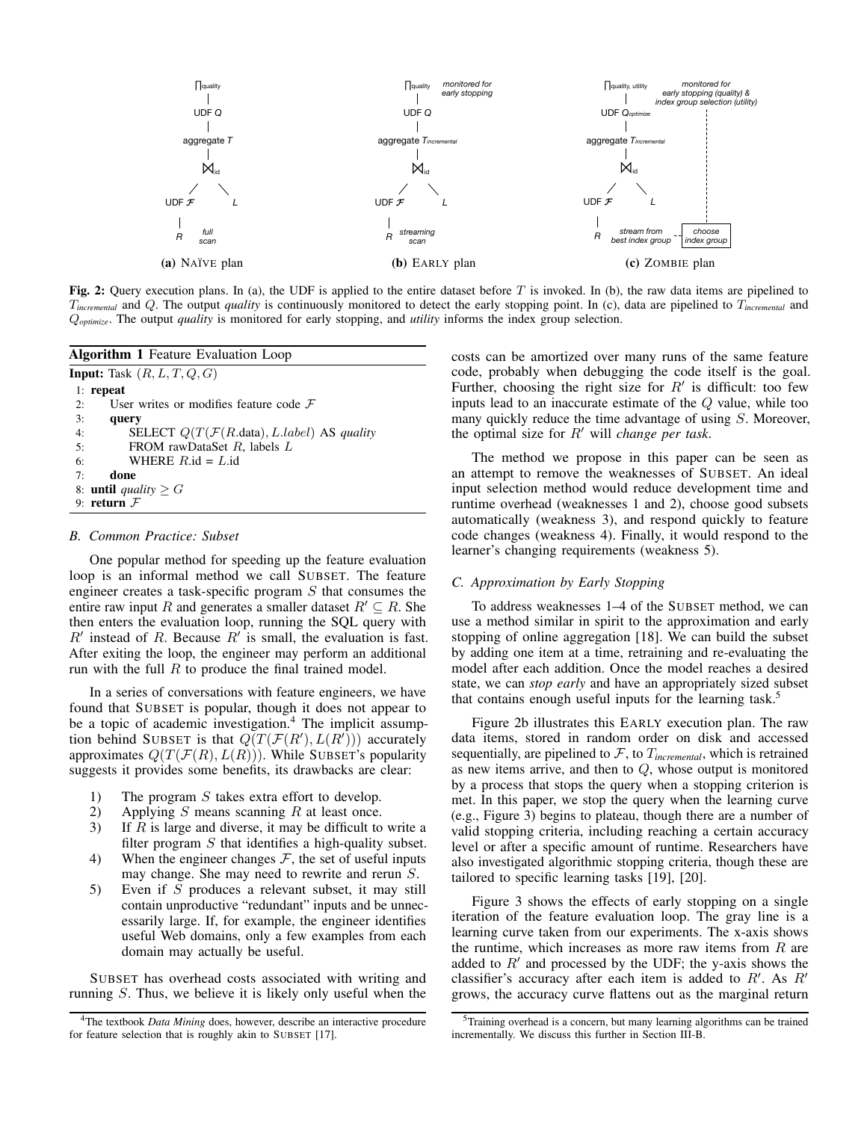

Fig. 2: Query execution plans. In (a), the UDF is applied to the entire dataset before T is invoked. In (b), the raw data items are pipelined to T*incremental* and Q. The output *quality* is continuously monitored to detect the early stopping point. In (c), data are pipelined to T*incremental* and Q*optimize*. The output *quality* is monitored for early stopping, and *utility* informs the index group selection.

| <b>Algorithm 1</b> Feature Evaluation Loop                                |  |  |  |
|---------------------------------------------------------------------------|--|--|--|
| <b>Input:</b> Task $(R, L, T, Q, G)$                                      |  |  |  |
| $1:$ repeat                                                               |  |  |  |
| User writes or modifies feature code $\mathcal F$<br>2:                   |  |  |  |
| 3:<br>query                                                               |  |  |  |
| SELECT $Q(T(\mathcal{F}(R.\text{data}), L.\text{label})$ AS quality<br>4: |  |  |  |
| 5:<br>FROM rawDataSet $R$ , labels $L$                                    |  |  |  |
| WHERE $R$ .id = $L$ .id<br>6:                                             |  |  |  |
| done<br>7:                                                                |  |  |  |
| 8: <b>until</b> quality $\geq G$                                          |  |  |  |
| 9: return $F$                                                             |  |  |  |
|                                                                           |  |  |  |

#### *B. Common Practice: Subset*

One popular method for speeding up the feature evaluation loop is an informal method we call SUBSET. The feature engineer creates a task-specific program  $S$  that consumes the entire raw input R and generates a smaller dataset  $R' \subseteq R$ . She then enters the evaluation loop, running the SQL query with  $R'$  instead of R. Because  $R'$  is small, the evaluation is fast. After exiting the loop, the engineer may perform an additional run with the full  $R$  to produce the final trained model.

In a series of conversations with feature engineers, we have found that SUBSET is popular, though it does not appear to be a topic of academic investigation.<sup>4</sup> The implicit assumption behind SUBSET is that  $Q(T(\mathcal{F}(R'), L(R')))$  accurately approximates  $Q(T(\mathcal{F}(R), L(R)))$ . While SUBSET's popularity suggests it provides some benefits, its drawbacks are clear:

- 1) The program S takes extra effort to develop.<br>
2) Applying S means scanning R at least once.
- Applying  $S$  means scanning  $R$  at least once.
- 3) If  $R$  is large and diverse, it may be difficult to write a filter program  $S$  that identifies a high-quality subset.
- 4) When the engineer changes  $\mathcal{F}$ , the set of useful inputs may change. She may need to rewrite and rerun S.
- 5) Even if S produces a relevant subset, it may still contain unproductive "redundant" inputs and be unnecessarily large. If, for example, the engineer identifies useful Web domains, only a few examples from each domain may actually be useful.

SUBSET has overhead costs associated with writing and running S. Thus, we believe it is likely only useful when the costs can be amortized over many runs of the same feature code, probably when debugging the code itself is the goal. Further, choosing the right size for  $R'$  is difficult: too few inputs lead to an inaccurate estimate of the Q value, while too many quickly reduce the time advantage of using S. Moreover, the optimal size for  $R'$  will *change per task*.

The method we propose in this paper can be seen as an attempt to remove the weaknesses of SUBSET. An ideal input selection method would reduce development time and runtime overhead (weaknesses 1 and 2), choose good subsets automatically (weakness 3), and respond quickly to feature code changes (weakness 4). Finally, it would respond to the learner's changing requirements (weakness 5).

# *C. Approximation by Early Stopping*

To address weaknesses 1–4 of the SUBSET method, we can use a method similar in spirit to the approximation and early stopping of online aggregation [18]. We can build the subset by adding one item at a time, retraining and re-evaluating the model after each addition. Once the model reaches a desired state, we can *stop early* and have an appropriately sized subset that contains enough useful inputs for the learning task.<sup>5</sup>

Figure 2b illustrates this EARLY execution plan. The raw data items, stored in random order on disk and accessed sequentially, are pipelined to  $F$ , to  $T_{incremental}$ , which is retrained as new items arrive, and then to  $Q$ , whose output is monitored by a process that stops the query when a stopping criterion is met. In this paper, we stop the query when the learning curve (e.g., Figure 3) begins to plateau, though there are a number of valid stopping criteria, including reaching a certain accuracy level or after a specific amount of runtime. Researchers have also investigated algorithmic stopping criteria, though these are tailored to specific learning tasks [19], [20].

Figure 3 shows the effects of early stopping on a single iteration of the feature evaluation loop. The gray line is a learning curve taken from our experiments. The x-axis shows the runtime, which increases as more raw items from  $R$  are added to  $R'$  and processed by the UDF; the y-axis shows the classifier's accuracy after each item is added to  $R'$ . As  $R'$ grows, the accuracy curve flattens out as the marginal return

<sup>4</sup>The textbook *Data Mining* does, however, describe an interactive procedure for feature selection that is roughly akin to SUBSET [17].

<sup>5</sup>Training overhead is a concern, but many learning algorithms can be trained incrementally. We discuss this further in Section III-B.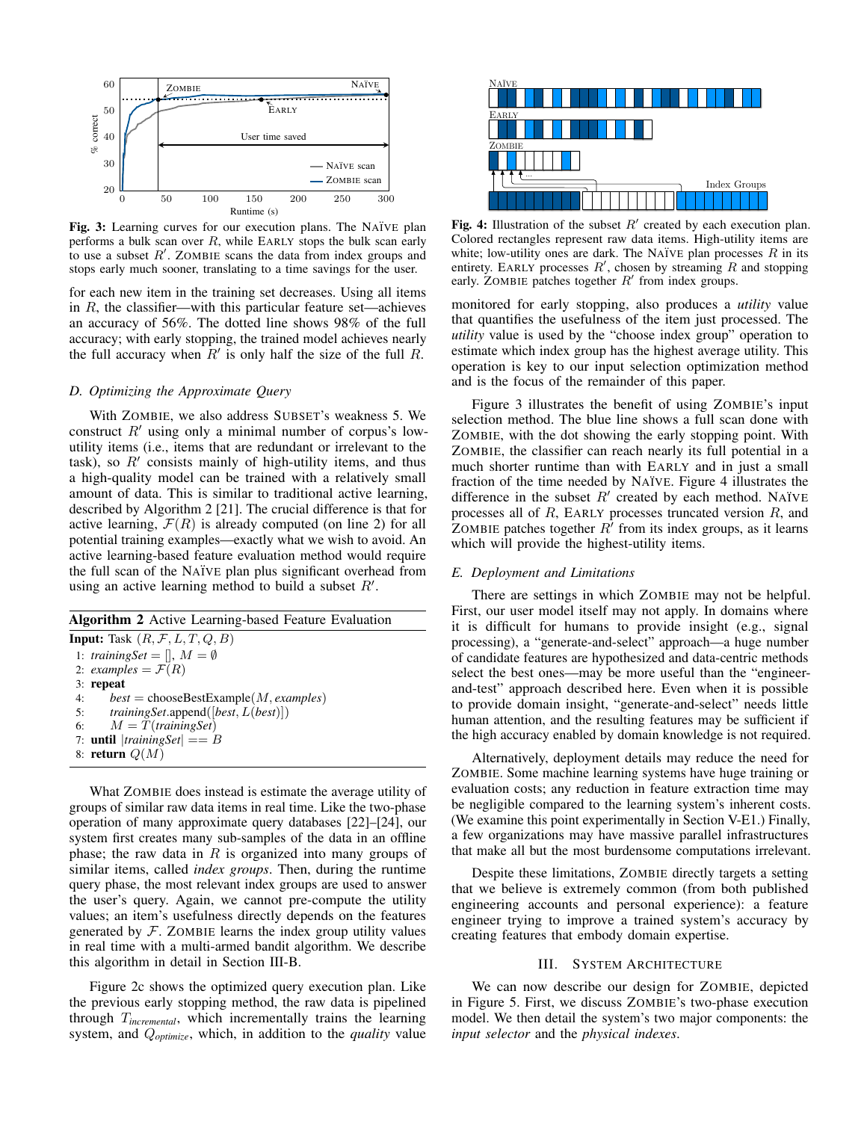

Fig. 3: Learning curves for our execution plans. The NAÏVE plan performs a bulk scan over  $R$ , while EARLY stops the bulk scan early to use a subset  $R'$ . ZOMBIE scans the data from index groups and stops early much sooner, translating to a time savings for the user.

for each new item in the training set decreases. Using all items in  $R$ , the classifier—with this particular feature set—achieves an accuracy of 56%. The dotted line shows 98% of the full accuracy; with early stopping, the trained model achieves nearly the full accuracy when  $R'$  is only half the size of the full R.

#### *D. Optimizing the Approximate Query*

With ZOMBIE, we also address SUBSET's weakness 5. We construct  $R'$  using only a minimal number of corpus's lowutility items (i.e., items that are redundant or irrelevant to the task), so  $R'$  consists mainly of high-utility items, and thus a high-quality model can be trained with a relatively small amount of data. This is similar to traditional active learning, described by Algorithm 2 [21]. The crucial difference is that for active learning,  $\mathcal{F}(R)$  is already computed (on line 2) for all potential training examples—exactly what we wish to avoid. An active learning-based feature evaluation method would require the full scan of the NA¨IVE plan plus significant overhead from using an active learning method to build a subset  $R'$ .

| <b>Algorithm 2</b> Active Learning-based Feature Evaluation           |  |  |
|-----------------------------------------------------------------------|--|--|
| <b>Input:</b> Task $(R, \mathcal{F}, L, T, Q, B)$                     |  |  |
| 1: training Set = $[$ , $M = \emptyset$                               |  |  |
| 2: examples = $\mathcal{F}(R)$                                        |  |  |
| $3:$ repeat                                                           |  |  |
| $best = chooseBestExample(M, examples)$<br>4:                         |  |  |
| <i>training Set.</i> append ([ <i>best, L</i> ( <i>best</i> )])<br>5: |  |  |
| 6: $M = T(trainingset)$                                               |  |  |
| 7: <b>until</b> $ trainingSet  == B$                                  |  |  |
| 8: return $Q(M)$                                                      |  |  |

What ZOMBIE does instead is estimate the average utility of groups of similar raw data items in real time. Like the two-phase operation of many approximate query databases [22]–[24], our system first creates many sub-samples of the data in an offline phase; the raw data in  $R$  is organized into many groups of similar items, called *index groups*. Then, during the runtime query phase, the most relevant index groups are used to answer the user's query. Again, we cannot pre-compute the utility values; an item's usefulness directly depends on the features generated by  $F$ . ZOMBIE learns the index group utility values in real time with a multi-armed bandit algorithm. We describe this algorithm in detail in Section III-B.

Figure 2c shows the optimized query execution plan. Like the previous early stopping method, the raw data is pipelined through T*incremental*, which incrementally trains the learning system, and Q*optimize*, which, in addition to the *quality* value



Fig. 4: Illustration of the subset  $R'$  created by each execution plan. Colored rectangles represent raw data items. High-utility items are white; low-utility ones are dark. The NAïVE plan processes  $R$  in its entirety. EARLY processes  $R'$ , chosen by streaming  $R$  and stopping early. ZOMBIE patches together  $R'$  from index groups.

monitored for early stopping, also produces a *utility* value that quantifies the usefulness of the item just processed. The *utility* value is used by the "choose index group" operation to estimate which index group has the highest average utility. This operation is key to our input selection optimization method and is the focus of the remainder of this paper.

Figure 3 illustrates the benefit of using ZOMBIE's input selection method. The blue line shows a full scan done with ZOMBIE, with the dot showing the early stopping point. With ZOMBIE, the classifier can reach nearly its full potential in a much shorter runtime than with EARLY and in just a small fraction of the time needed by NAÏVE. Figure 4 illustrates the difference in the subset  $R'$  created by each method. NAÏVE processes all of  $R$ , EARLY processes truncated version  $R$ , and ZOMBIE patches together  $R^{\gamma}$  from its index groups, as it learns which will provide the highest-utility items.

#### *E. Deployment and Limitations*

There are settings in which ZOMBIE may not be helpful. First, our user model itself may not apply. In domains where it is difficult for humans to provide insight (e.g., signal processing), a "generate-and-select" approach—a huge number of candidate features are hypothesized and data-centric methods select the best ones—may be more useful than the "engineerand-test" approach described here. Even when it is possible to provide domain insight, "generate-and-select" needs little human attention, and the resulting features may be sufficient if the high accuracy enabled by domain knowledge is not required.

Alternatively, deployment details may reduce the need for ZOMBIE. Some machine learning systems have huge training or evaluation costs; any reduction in feature extraction time may be negligible compared to the learning system's inherent costs. (We examine this point experimentally in Section V-E1.) Finally, a few organizations may have massive parallel infrastructures that make all but the most burdensome computations irrelevant.

Despite these limitations, ZOMBIE directly targets a setting that we believe is extremely common (from both published engineering accounts and personal experience): a feature engineer trying to improve a trained system's accuracy by creating features that embody domain expertise.

## III. SYSTEM ARCHITECTURE

We can now describe our design for ZOMBIE, depicted in Figure 5. First, we discuss ZOMBIE's two-phase execution model. We then detail the system's two major components: the *input selector* and the *physical indexes*.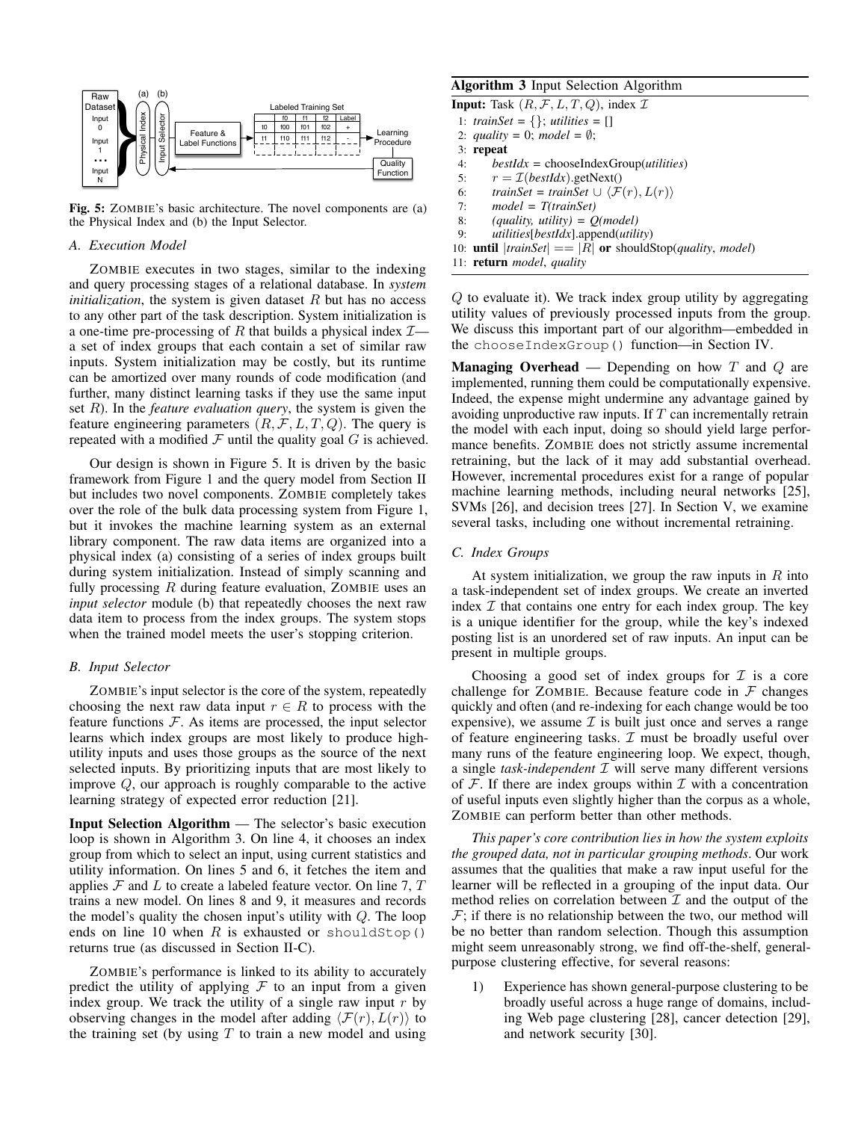

Fig. 5: ZOMBIE's basic architecture. The novel components are (a) the Physical Index and (b) the Input Selector.

#### *A. Execution Model*

ZOMBIE executes in two stages, similar to the indexing and query processing stages of a relational database. In *system initialization*, the system is given dataset  $R$  but has no access to any other part of the task description. System initialization is a one-time pre-processing of R that builds a physical index  $I$  a set of index groups that each contain a set of similar raw inputs. System initialization may be costly, but its runtime can be amortized over many rounds of code modification (and further, many distinct learning tasks if they use the same input set R). In the *feature evaluation query*, the system is given the feature engineering parameters  $(R, \mathcal{F}, L, T, Q)$ . The query is repeated with a modified  $\mathcal F$  until the quality goal  $G$  is achieved.

Our design is shown in Figure 5. It is driven by the basic framework from Figure 1 and the query model from Section II but includes two novel components. ZOMBIE completely takes over the role of the bulk data processing system from Figure 1, but it invokes the machine learning system as an external library component. The raw data items are organized into a physical index (a) consisting of a series of index groups built during system initialization. Instead of simply scanning and fully processing  $R$  during feature evaluation, ZOMBIE uses an *input selector* module (b) that repeatedly chooses the next raw data item to process from the index groups. The system stops when the trained model meets the user's stopping criterion.

#### *B. Input Selector*

ZOMBIE's input selector is the core of the system, repeatedly choosing the next raw data input  $r \in R$  to process with the feature functions  $F$ . As items are processed, the input selector learns which index groups are most likely to produce highutility inputs and uses those groups as the source of the next selected inputs. By prioritizing inputs that are most likely to improve Q, our approach is roughly comparable to the active learning strategy of expected error reduction [21].

Input Selection Algorithm — The selector's basic execution loop is shown in Algorithm 3. On line 4, it chooses an index group from which to select an input, using current statistics and utility information. On lines 5 and 6, it fetches the item and applies  $\mathcal F$  and  $L$  to create a labeled feature vector. On line 7,  $T$ trains a new model. On lines 8 and 9, it measures and records the model's quality the chosen input's utility with  $Q$ . The loop ends on line 10 when  $R$  is exhausted or shouldStop() returns true (as discussed in Section II-C).

ZOMBIE's performance is linked to its ability to accurately predict the utility of applying  $F$  to an input from a given index group. We track the utility of a single raw input  $r$  by observing changes in the model after adding  $\langle \mathcal{F}(r), L(r) \rangle$  to the training set (by using  $T$  to train a new model and using

# Algorithm 3 Input Selection Algorithm

**Input:** Task  $(R, \mathcal{F}, L, T, Q)$ , index  $\mathcal{I}$ 1: *trainSet* = {}; *utilities* = [] 2: *quality* = 0; *model* =  $\emptyset$ ; 3: repeat 4: *bestIdx* = chooseIndexGroup(*utilities*) 5:  $r = \mathcal{I}(bestIdx)$ .getNext() 6: *trainSet* = *trainSet*  $\cup \langle F(r), L(r) \rangle$ 7: *model = T(trainSet)* 8: *(quality, utility) = Q(model)* 9: *utilities*[*bestIdx*].append(*utility*)

10: **until**  $|trainSet| == |R|$  or shouldStop(*quality*, *model*) 11: return *model*, *quality*

Q to evaluate it). We track index group utility by aggregating utility values of previously processed inputs from the group. We discuss this important part of our algorithm—embedded in the chooseIndexGroup() function—in Section IV.

**Managing Overhead** — Depending on how  $T$  and  $Q$  are implemented, running them could be computationally expensive. Indeed, the expense might undermine any advantage gained by avoiding unproductive raw inputs. If  $T$  can incrementally retrain the model with each input, doing so should yield large performance benefits. ZOMBIE does not strictly assume incremental retraining, but the lack of it may add substantial overhead. However, incremental procedures exist for a range of popular machine learning methods, including neural networks [25], SVMs [26], and decision trees [27]. In Section V, we examine several tasks, including one without incremental retraining.

## *C. Index Groups*

At system initialization, we group the raw inputs in  $R$  into a task-independent set of index groups. We create an inverted index  $I$  that contains one entry for each index group. The key is a unique identifier for the group, while the key's indexed posting list is an unordered set of raw inputs. An input can be present in multiple groups.

Choosing a good set of index groups for  $\mathcal I$  is a core challenge for ZOMBIE. Because feature code in  $\mathcal F$  changes quickly and often (and re-indexing for each change would be too expensive), we assume  $\mathcal I$  is built just once and serves a range of feature engineering tasks.  $I$  must be broadly useful over many runs of the feature engineering loop. We expect, though, a single *task-independent* I will serve many different versions of  $\mathcal F$ . If there are index groups within  $\mathcal I$  with a concentration of useful inputs even slightly higher than the corpus as a whole, ZOMBIE can perform better than other methods.

*This paper's core contribution lies in how the system exploits the grouped data, not in particular grouping methods*. Our work assumes that the qualities that make a raw input useful for the learner will be reflected in a grouping of the input data. Our method relies on correlation between  $\mathcal I$  and the output of the  $F$ ; if there is no relationship between the two, our method will be no better than random selection. Though this assumption might seem unreasonably strong, we find off-the-shelf, generalpurpose clustering effective, for several reasons:

1) Experience has shown general-purpose clustering to be broadly useful across a huge range of domains, including Web page clustering [28], cancer detection [29], and network security [30].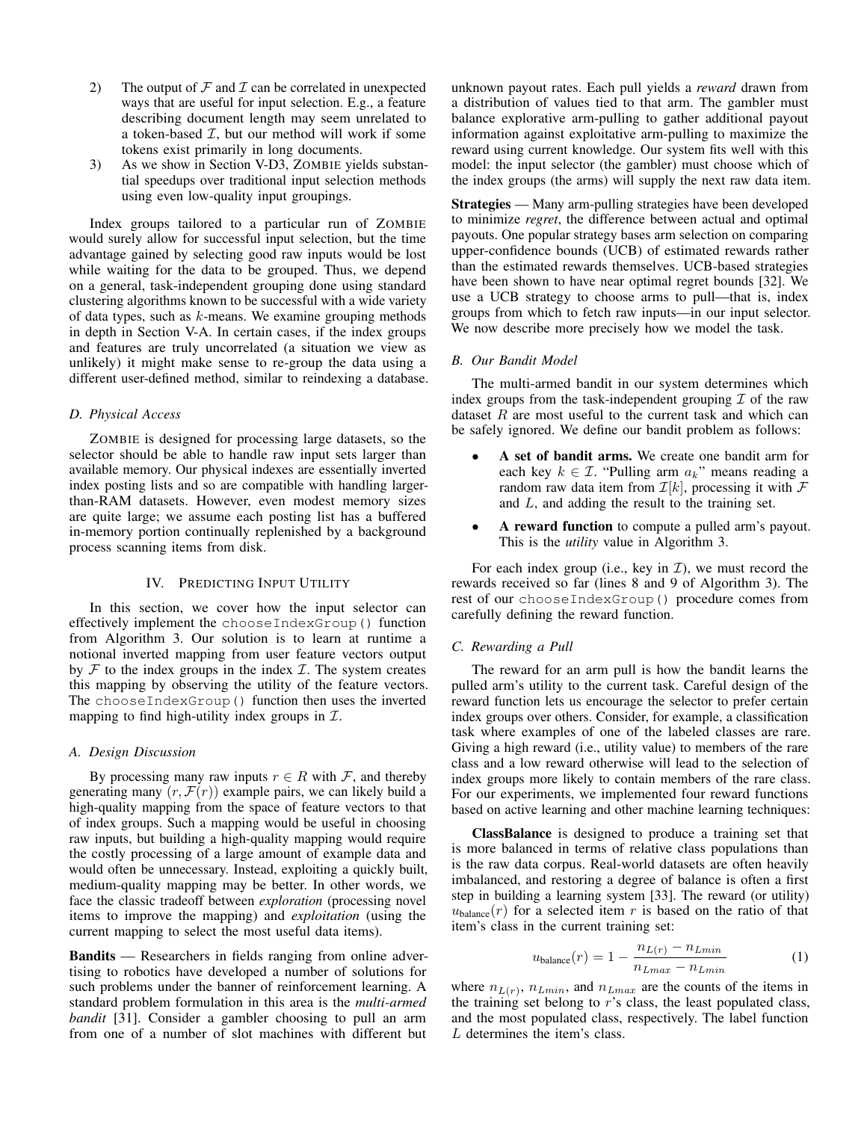- 2) The output of  $\mathcal F$  and  $\mathcal I$  can be correlated in unexpected ways that are useful for input selection. E.g., a feature describing document length may seem unrelated to a token-based  $I$ , but our method will work if some tokens exist primarily in long documents.
- 3) As we show in Section V-D3, ZOMBIE yields substantial speedups over traditional input selection methods using even low-quality input groupings.

Index groups tailored to a particular run of ZOMBIE would surely allow for successful input selection, but the time advantage gained by selecting good raw inputs would be lost while waiting for the data to be grouped. Thus, we depend on a general, task-independent grouping done using standard clustering algorithms known to be successful with a wide variety of data types, such as  $k$ -means. We examine grouping methods in depth in Section V-A. In certain cases, if the index groups and features are truly uncorrelated (a situation we view as unlikely) it might make sense to re-group the data using a different user-defined method, similar to reindexing a database.

## *D. Physical Access*

ZOMBIE is designed for processing large datasets, so the selector should be able to handle raw input sets larger than available memory. Our physical indexes are essentially inverted index posting lists and so are compatible with handling largerthan-RAM datasets. However, even modest memory sizes are quite large; we assume each posting list has a buffered in-memory portion continually replenished by a background process scanning items from disk.

# IV. PREDICTING INPUT UTILITY

In this section, we cover how the input selector can effectively implement the chooseIndexGroup() function from Algorithm 3. Our solution is to learn at runtime a notional inverted mapping from user feature vectors output by  $F$  to the index groups in the index  $T$ . The system creates this mapping by observing the utility of the feature vectors. The chooseIndexGroup() function then uses the inverted mapping to find high-utility index groups in  $\mathcal{I}$ .

#### *A. Design Discussion*

By processing many raw inputs  $r \in R$  with  $\mathcal{F}$ , and thereby generating many  $(r, \mathcal{F}(r))$  example pairs, we can likely build a high-quality mapping from the space of feature vectors to that of index groups. Such a mapping would be useful in choosing raw inputs, but building a high-quality mapping would require the costly processing of a large amount of example data and would often be unnecessary. Instead, exploiting a quickly built, medium-quality mapping may be better. In other words, we face the classic tradeoff between *exploration* (processing novel items to improve the mapping) and *exploitation* (using the current mapping to select the most useful data items).

Bandits — Researchers in fields ranging from online advertising to robotics have developed a number of solutions for such problems under the banner of reinforcement learning. A standard problem formulation in this area is the *multi-armed bandit* [31]. Consider a gambler choosing to pull an arm from one of a number of slot machines with different but

unknown payout rates. Each pull yields a *reward* drawn from a distribution of values tied to that arm. The gambler must balance explorative arm-pulling to gather additional payout information against exploitative arm-pulling to maximize the reward using current knowledge. Our system fits well with this model: the input selector (the gambler) must choose which of the index groups (the arms) will supply the next raw data item.

Strategies — Many arm-pulling strategies have been developed to minimize *regret*, the difference between actual and optimal payouts. One popular strategy bases arm selection on comparing upper-confidence bounds (UCB) of estimated rewards rather than the estimated rewards themselves. UCB-based strategies have been shown to have near optimal regret bounds [32]. We use a UCB strategy to choose arms to pull—that is, index groups from which to fetch raw inputs—in our input selector. We now describe more precisely how we model the task.

#### *B. Our Bandit Model*

The multi-armed bandit in our system determines which index groups from the task-independent grouping  $\mathcal I$  of the raw dataset  $R$  are most useful to the current task and which can be safely ignored. We define our bandit problem as follows:

- A set of bandit arms. We create one bandit arm for each key  $k \in \mathcal{I}$ . "Pulling arm  $a_k$ " means reading a random raw data item from  $\mathcal{I}[k]$ , processing it with  $\mathcal F$ and L, and adding the result to the training set.
- A reward function to compute a pulled arm's payout. This is the *utility* value in Algorithm 3.

For each index group (i.e., key in  $\mathcal{I}$ ), we must record the rewards received so far (lines 8 and 9 of Algorithm 3). The rest of our chooseIndexGroup() procedure comes from carefully defining the reward function.

## *C. Rewarding a Pull*

The reward for an arm pull is how the bandit learns the pulled arm's utility to the current task. Careful design of the reward function lets us encourage the selector to prefer certain index groups over others. Consider, for example, a classification task where examples of one of the labeled classes are rare. Giving a high reward (i.e., utility value) to members of the rare class and a low reward otherwise will lead to the selection of index groups more likely to contain members of the rare class. For our experiments, we implemented four reward functions based on active learning and other machine learning techniques:

ClassBalance is designed to produce a training set that is more balanced in terms of relative class populations than is the raw data corpus. Real-world datasets are often heavily imbalanced, and restoring a degree of balance is often a first step in building a learning system [33]. The reward (or utility)  $u_{\text{balance}}(r)$  for a selected item r is based on the ratio of that item's class in the current training set:

$$
u_{\text{balance}}(r) = 1 - \frac{n_{L(r)} - n_{Lmin}}{n_{Lmax} - n_{Lmin}} \tag{1}
$$

where  $n_{L(r)}$ ,  $n_{Lmin}$ , and  $n_{Lmax}$  are the counts of the items in the training set belong to  $r$ 's class, the least populated class, and the most populated class, respectively. The label function L determines the item's class.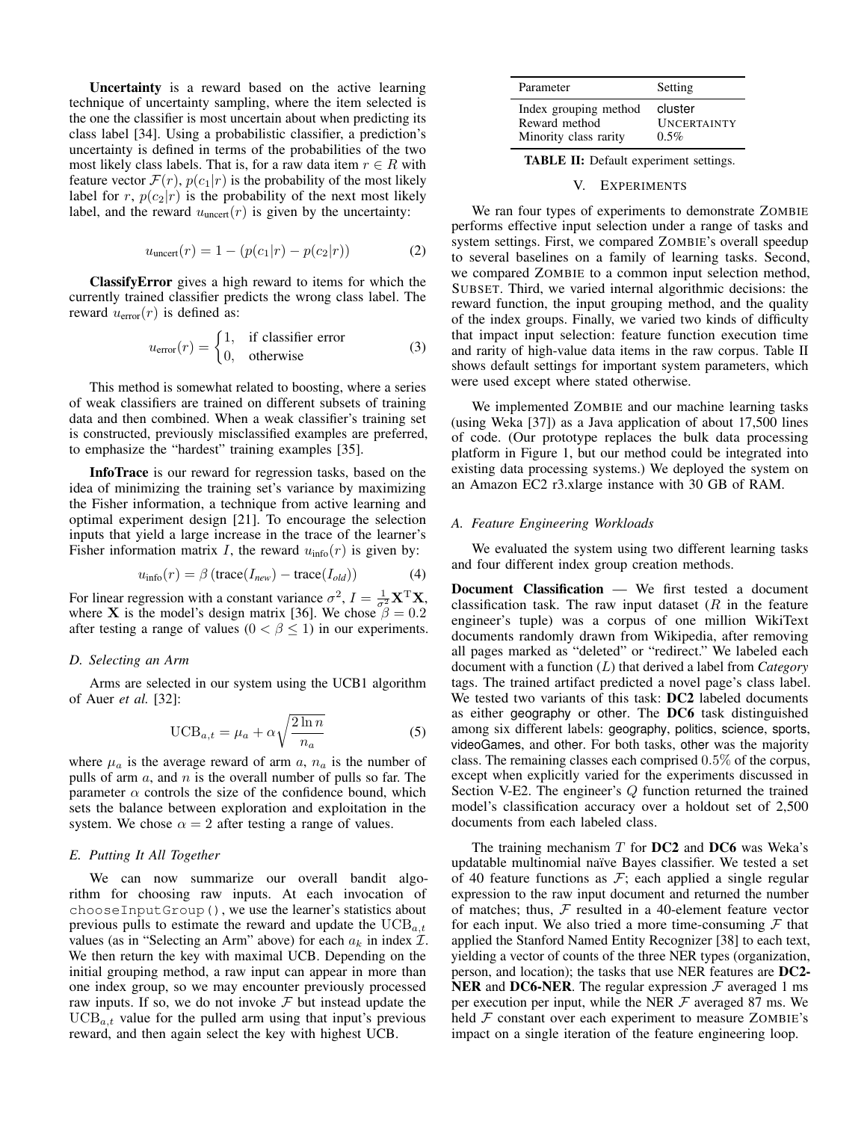Uncertainty is a reward based on the active learning technique of uncertainty sampling, where the item selected is the one the classifier is most uncertain about when predicting its class label [34]. Using a probabilistic classifier, a prediction's uncertainty is defined in terms of the probabilities of the two most likely class labels. That is, for a raw data item  $r \in R$  with feature vector  $\mathcal{F}(r)$ ,  $p(c_1|r)$  is the probability of the most likely label for r,  $p(c_2|r)$  is the probability of the next most likely label, and the reward  $u_{\text{uncert}}(r)$  is given by the uncertainty:

$$
u_{\text{uncert}}(r) = 1 - (p(c_1|r) - p(c_2|r))
$$
 (2)

ClassifyError gives a high reward to items for which the currently trained classifier predicts the wrong class label. The reward  $u_{\text{error}}(r)$  is defined as:

$$
u_{\text{error}}(r) = \begin{cases} 1, & \text{if classifier error} \\ 0, & \text{otherwise} \end{cases}
$$
 (3)

This method is somewhat related to boosting, where a series of weak classifiers are trained on different subsets of training data and then combined. When a weak classifier's training set is constructed, previously misclassified examples are preferred, to emphasize the "hardest" training examples [35].

InfoTrace is our reward for regression tasks, based on the idea of minimizing the training set's variance by maximizing the Fisher information, a technique from active learning and optimal experiment design [21]. To encourage the selection inputs that yield a large increase in the trace of the learner's Fisher information matrix *I*, the reward  $u_{\text{info}}(r)$  is given by:

$$
u_{\text{info}}(r) = \beta \left( \text{trace}(I_{\text{new}}) - \text{trace}(I_{\text{old}}) \right) \tag{4}
$$

For linear regression with a constant variance  $\sigma^2$ ,  $I = \frac{1}{\sigma^2} \mathbf{X}^T \mathbf{X}$ , where **X** is the model's design matrix [36]. We chose  $\beta = 0.2$ after testing a range of values  $(0 < \beta \le 1)$  in our experiments.

#### *D. Selecting an Arm*

Arms are selected in our system using the UCB1 algorithm of Auer *et al.* [32]:

$$
\text{UCB}_{a,t} = \mu_a + \alpha \sqrt{\frac{2\ln n}{n_a}} \tag{5}
$$

where  $\mu_a$  is the average reward of arm a,  $n_a$  is the number of pulls of arm  $a$ , and  $n$  is the overall number of pulls so far. The parameter  $\alpha$  controls the size of the confidence bound, which sets the balance between exploration and exploitation in the system. We chose  $\alpha = 2$  after testing a range of values.

# *E. Putting It All Together*

We can now summarize our overall bandit algorithm for choosing raw inputs. At each invocation of chooseInputGroup(), we use the learner's statistics about previous pulls to estimate the reward and update the  $UCB_{a,t}$ values (as in "Selecting an Arm" above) for each  $a_k$  in index  $\mathcal{I}$ . We then return the key with maximal UCB. Depending on the initial grouping method, a raw input can appear in more than one index group, so we may encounter previously processed raw inputs. If so, we do not invoke  $\mathcal F$  but instead update the  $UCB_{a,t}$  value for the pulled arm using that input's previous reward, and then again select the key with highest UCB.

| Parameter             | Setting            |
|-----------------------|--------------------|
| Index grouping method | cluster            |
| Reward method         | <b>UNCERTAINTY</b> |
| Minority class rarity | $0.5\%$            |

TABLE II: Default experiment settings.

#### V. EXPERIMENTS

We ran four types of experiments to demonstrate ZOMBIE performs effective input selection under a range of tasks and system settings. First, we compared ZOMBIE's overall speedup to several baselines on a family of learning tasks. Second, we compared ZOMBIE to a common input selection method, SUBSET. Third, we varied internal algorithmic decisions: the reward function, the input grouping method, and the quality of the index groups. Finally, we varied two kinds of difficulty that impact input selection: feature function execution time and rarity of high-value data items in the raw corpus. Table II shows default settings for important system parameters, which were used except where stated otherwise.

We implemented ZOMBIE and our machine learning tasks (using Weka [37]) as a Java application of about 17,500 lines of code. (Our prototype replaces the bulk data processing platform in Figure 1, but our method could be integrated into existing data processing systems.) We deployed the system on an Amazon EC2 r3.xlarge instance with 30 GB of RAM.

#### *A. Feature Engineering Workloads*

We evaluated the system using two different learning tasks and four different index group creation methods.

Document Classification — We first tested a document classification task. The raw input dataset  $(R$  in the feature engineer's tuple) was a corpus of one million WikiText documents randomly drawn from Wikipedia, after removing all pages marked as "deleted" or "redirect." We labeled each document with a function (L) that derived a label from *Category* tags. The trained artifact predicted a novel page's class label. We tested two variants of this task: DC2 labeled documents as either geography or other. The DC6 task distinguished among six different labels: geography, politics, science, sports, videoGames, and other. For both tasks, other was the majority class. The remaining classes each comprised 0.5% of the corpus, except when explicitly varied for the experiments discussed in Section V-E2. The engineer's Q function returned the trained model's classification accuracy over a holdout set of 2,500 documents from each labeled class.

The training mechanism  $T$  for  $DC2$  and  $DC6$  was Weka's updatable multinomial naïve Bayes classifier. We tested a set of 40 feature functions as  $F$ ; each applied a single regular expression to the raw input document and returned the number of matches; thus,  $F$  resulted in a 40-element feature vector for each input. We also tried a more time-consuming  $F$  that applied the Stanford Named Entity Recognizer [38] to each text, yielding a vector of counts of the three NER types (organization, person, and location); the tasks that use NER features are DC2- **NER** and DC6-NER. The regular expression  $\mathcal F$  averaged 1 ms per execution per input, while the NER  $F$  averaged 87 ms. We held  $F$  constant over each experiment to measure ZOMBIE's impact on a single iteration of the feature engineering loop.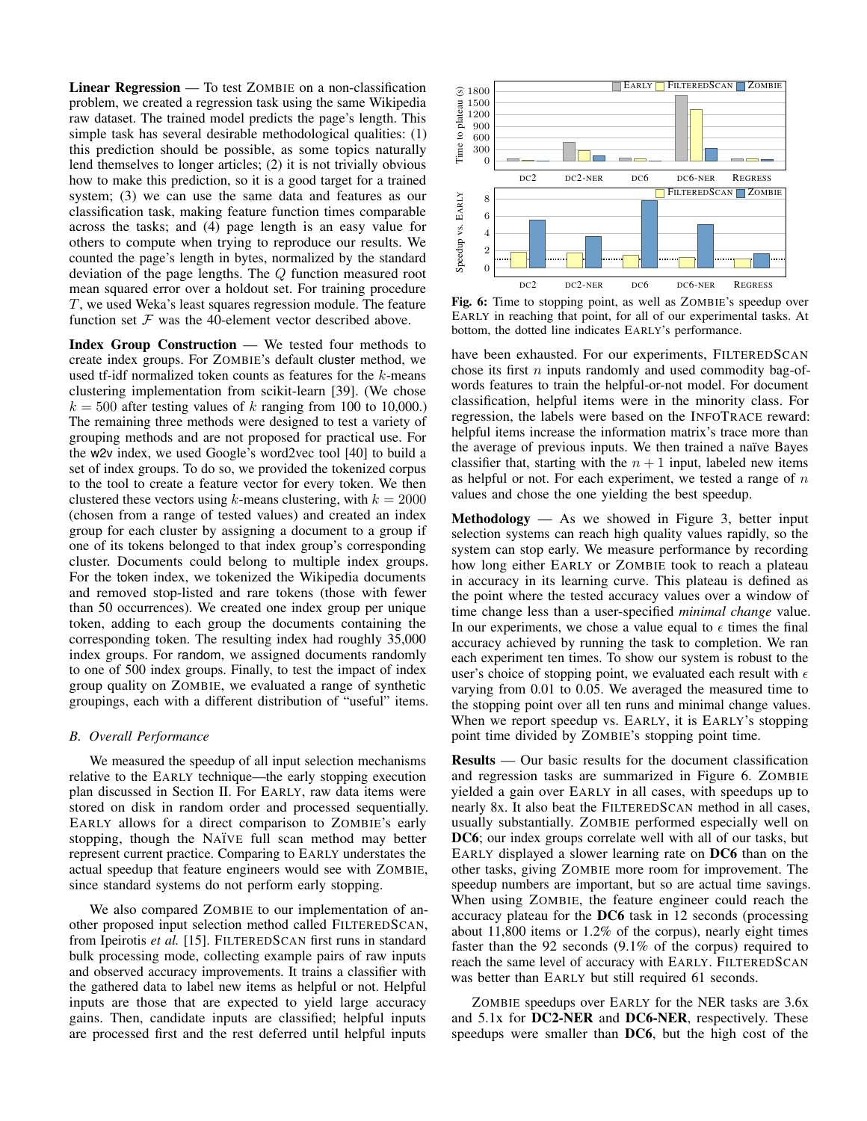Linear Regression — To test ZOMBIE on a non-classification problem, we created a regression task using the same Wikipedia raw dataset. The trained model predicts the page's length. This simple task has several desirable methodological qualities: (1) this prediction should be possible, as some topics naturally lend themselves to longer articles; (2) it is not trivially obvious how to make this prediction, so it is a good target for a trained system; (3) we can use the same data and features as our classification task, making feature function times comparable across the tasks; and (4) page length is an easy value for others to compute when trying to reproduce our results. We counted the page's length in bytes, normalized by the standard deviation of the page lengths. The Q function measured root mean squared error over a holdout set. For training procedure T, we used Weka's least squares regression module. The feature function set  $F$  was the 40-element vector described above.

Index Group Construction — We tested four methods to create index groups. For ZOMBIE's default cluster method, we used tf-idf normalized token counts as features for the k-means clustering implementation from scikit-learn [39]. (We chose  $k = 500$  after testing values of k ranging from 100 to 10,000.) The remaining three methods were designed to test a variety of grouping methods and are not proposed for practical use. For the w2v index, we used Google's word2vec tool [40] to build a set of index groups. To do so, we provided the tokenized corpus to the tool to create a feature vector for every token. We then clustered these vectors using k-means clustering, with  $k = 2000$ (chosen from a range of tested values) and created an index group for each cluster by assigning a document to a group if one of its tokens belonged to that index group's corresponding cluster. Documents could belong to multiple index groups. For the token index, we tokenized the Wikipedia documents and removed stop-listed and rare tokens (those with fewer than 50 occurrences). We created one index group per unique token, adding to each group the documents containing the corresponding token. The resulting index had roughly 35,000 index groups. For random, we assigned documents randomly to one of 500 index groups. Finally, to test the impact of index group quality on ZOMBIE, we evaluated a range of synthetic groupings, each with a different distribution of "useful" items.

# *B. Overall Performance*

We measured the speedup of all input selection mechanisms relative to the EARLY technique—the early stopping execution plan discussed in Section II. For EARLY, raw data items were stored on disk in random order and processed sequentially. EARLY allows for a direct comparison to ZOMBIE's early stopping, though the NAïVE full scan method may better represent current practice. Comparing to EARLY understates the actual speedup that feature engineers would see with ZOMBIE, since standard systems do not perform early stopping.

We also compared ZOMBIE to our implementation of another proposed input selection method called FILTEREDSCAN, from Ipeirotis *et al.* [15]. FILTEREDSCAN first runs in standard bulk processing mode, collecting example pairs of raw inputs and observed accuracy improvements. It trains a classifier with the gathered data to label new items as helpful or not. Helpful inputs are those that are expected to yield large accuracy gains. Then, candidate inputs are classified; helpful inputs are processed first and the rest deferred until helpful inputs



Fig. 6: Time to stopping point, as well as ZOMBIE's speedup over EARLY in reaching that point, for all of our experimental tasks. At bottom, the dotted line indicates EARLY's performance.

have been exhausted. For our experiments, FILTEREDSCAN chose its first  $n$  inputs randomly and used commodity bag-ofwords features to train the helpful-or-not model. For document classification, helpful items were in the minority class. For regression, the labels were based on the INFOTRACE reward: helpful items increase the information matrix's trace more than the average of previous inputs. We then trained a naïve Bayes classifier that, starting with the  $n + 1$  input, labeled new items as helpful or not. For each experiment, we tested a range of  $n$ values and chose the one yielding the best speedup.

**Methodology** — As we showed in Figure 3, better input selection systems can reach high quality values rapidly, so the system can stop early. We measure performance by recording how long either EARLY or ZOMBIE took to reach a plateau in accuracy in its learning curve. This plateau is defined as the point where the tested accuracy values over a window of time change less than a user-specified *minimal change* value. In our experiments, we chose a value equal to  $\epsilon$  times the final accuracy achieved by running the task to completion. We ran each experiment ten times. To show our system is robust to the user's choice of stopping point, we evaluated each result with  $\epsilon$ varying from 0.01 to 0.05. We averaged the measured time to the stopping point over all ten runs and minimal change values. When we report speedup vs. EARLY, it is EARLY's stopping point time divided by ZOMBIE's stopping point time.

Results — Our basic results for the document classification and regression tasks are summarized in Figure 6. ZOMBIE yielded a gain over EARLY in all cases, with speedups up to nearly 8x. It also beat the FILTEREDSCAN method in all cases, usually substantially. ZOMBIE performed especially well on DC6; our index groups correlate well with all of our tasks, but EARLY displayed a slower learning rate on DC6 than on the other tasks, giving ZOMBIE more room for improvement. The speedup numbers are important, but so are actual time savings. When using ZOMBIE, the feature engineer could reach the accuracy plateau for the DC6 task in 12 seconds (processing about 11,800 items or 1.2% of the corpus), nearly eight times faster than the 92 seconds (9.1% of the corpus) required to reach the same level of accuracy with EARLY. FILTEREDSCAN was better than EARLY but still required 61 seconds.

ZOMBIE speedups over EARLY for the NER tasks are 3.6x and 5.1x for DC2-NER and DC6-NER, respectively. These speedups were smaller than DC6, but the high cost of the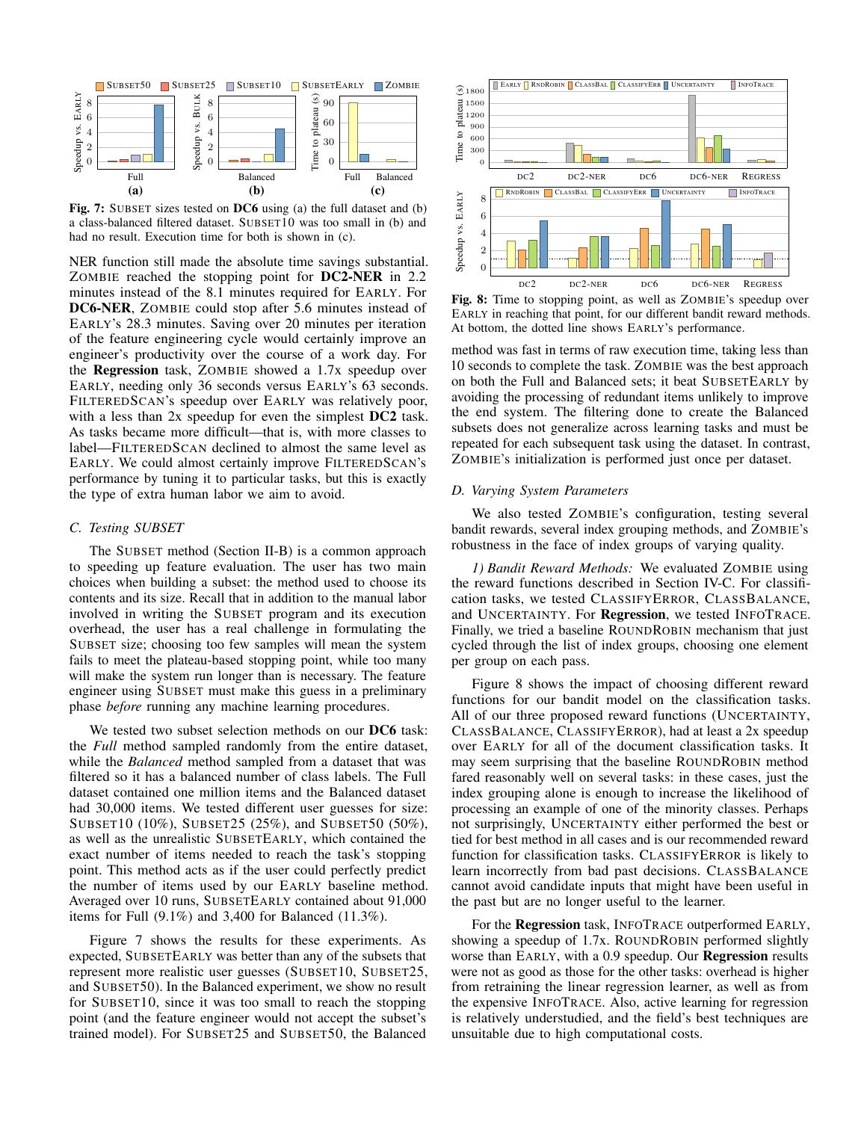

Fig. 7: SUBSET sizes tested on DC6 using (a) the full dataset and (b) a class-balanced filtered dataset. SUBSET10 was too small in (b) and had no result. Execution time for both is shown in (c).

NER function still made the absolute time savings substantial. ZOMBIE reached the stopping point for DC2-NER in 2.2 minutes instead of the 8.1 minutes required for EARLY. For DC6-NER, ZOMBIE could stop after 5.6 minutes instead of EARLY's 28.3 minutes. Saving over 20 minutes per iteration of the feature engineering cycle would certainly improve an engineer's productivity over the course of a work day. For the Regression task, ZOMBIE showed a 1.7x speedup over EARLY, needing only 36 seconds versus EARLY's 63 seconds. FILTEREDSCAN's speedup over EARLY was relatively poor, with a less than 2x speedup for even the simplest **DC2** task. As tasks became more difficult—that is, with more classes to label—FILTEREDSCAN declined to almost the same level as EARLY. We could almost certainly improve FILTEREDSCAN's performance by tuning it to particular tasks, but this is exactly the type of extra human labor we aim to avoid.

## *C. Testing SUBSET*

The SUBSET method (Section II-B) is a common approach to speeding up feature evaluation. The user has two main choices when building a subset: the method used to choose its contents and its size. Recall that in addition to the manual labor involved in writing the SUBSET program and its execution overhead, the user has a real challenge in formulating the SUBSET size; choosing too few samples will mean the system fails to meet the plateau-based stopping point, while too many will make the system run longer than is necessary. The feature engineer using SUBSET must make this guess in a preliminary phase *before* running any machine learning procedures.

We tested two subset selection methods on our DC6 task: the *Full* method sampled randomly from the entire dataset, while the *Balanced* method sampled from a dataset that was filtered so it has a balanced number of class labels. The Full dataset contained one million items and the Balanced dataset had 30,000 items. We tested different user guesses for size: SUBSET10 (10%), SUBSET25 (25%), and SUBSET50 (50%), as well as the unrealistic SUBSETEARLY, which contained the exact number of items needed to reach the task's stopping point. This method acts as if the user could perfectly predict the number of items used by our EARLY baseline method. Averaged over 10 runs, SUBSETEARLY contained about 91,000 items for Full (9.1%) and 3,400 for Balanced (11.3%).

Figure 7 shows the results for these experiments. As expected, SUBSETEARLY was better than any of the subsets that represent more realistic user guesses (SUBSET10, SUBSET25, and SUBSET50). In the Balanced experiment, we show no result for SUBSET10, since it was too small to reach the stopping point (and the feature engineer would not accept the subset's trained model). For SUBSET25 and SUBSET50, the Balanced



Fig. 8: Time to stopping point, as well as ZOMBIE's speedup over EARLY in reaching that point, for our different bandit reward methods. At bottom, the dotted line shows EARLY's performance.

method was fast in terms of raw execution time, taking less than 10 seconds to complete the task. ZOMBIE was the best approach on both the Full and Balanced sets; it beat SUBSETEARLY by avoiding the processing of redundant items unlikely to improve the end system. The filtering done to create the Balanced subsets does not generalize across learning tasks and must be repeated for each subsequent task using the dataset. In contrast, ZOMBIE's initialization is performed just once per dataset.

# *D. Varying System Parameters*

We also tested ZOMBIE's configuration, testing several bandit rewards, several index grouping methods, and ZOMBIE's robustness in the face of index groups of varying quality.

*1) Bandit Reward Methods:* We evaluated ZOMBIE using the reward functions described in Section IV-C. For classification tasks, we tested CLASSIFYERROR, CLASSBALANCE, and UNCERTAINTY. For Regression, we tested INFOTRACE. Finally, we tried a baseline ROUNDROBIN mechanism that just cycled through the list of index groups, choosing one element per group on each pass.

Figure 8 shows the impact of choosing different reward functions for our bandit model on the classification tasks. All of our three proposed reward functions (UNCERTAINTY, CLASSBALANCE, CLASSIFYERROR), had at least a 2x speedup over EARLY for all of the document classification tasks. It may seem surprising that the baseline ROUNDROBIN method fared reasonably well on several tasks: in these cases, just the index grouping alone is enough to increase the likelihood of processing an example of one of the minority classes. Perhaps not surprisingly, UNCERTAINTY either performed the best or tied for best method in all cases and is our recommended reward function for classification tasks. CLASSIFYERROR is likely to learn incorrectly from bad past decisions. CLASSBALANCE cannot avoid candidate inputs that might have been useful in the past but are no longer useful to the learner.

For the Regression task, INFOTRACE outperformed EARLY, showing a speedup of 1.7x. ROUNDROBIN performed slightly worse than EARLY, with a 0.9 speedup. Our Regression results were not as good as those for the other tasks: overhead is higher from retraining the linear regression learner, as well as from the expensive INFOTRACE. Also, active learning for regression is relatively understudied, and the field's best techniques are unsuitable due to high computational costs.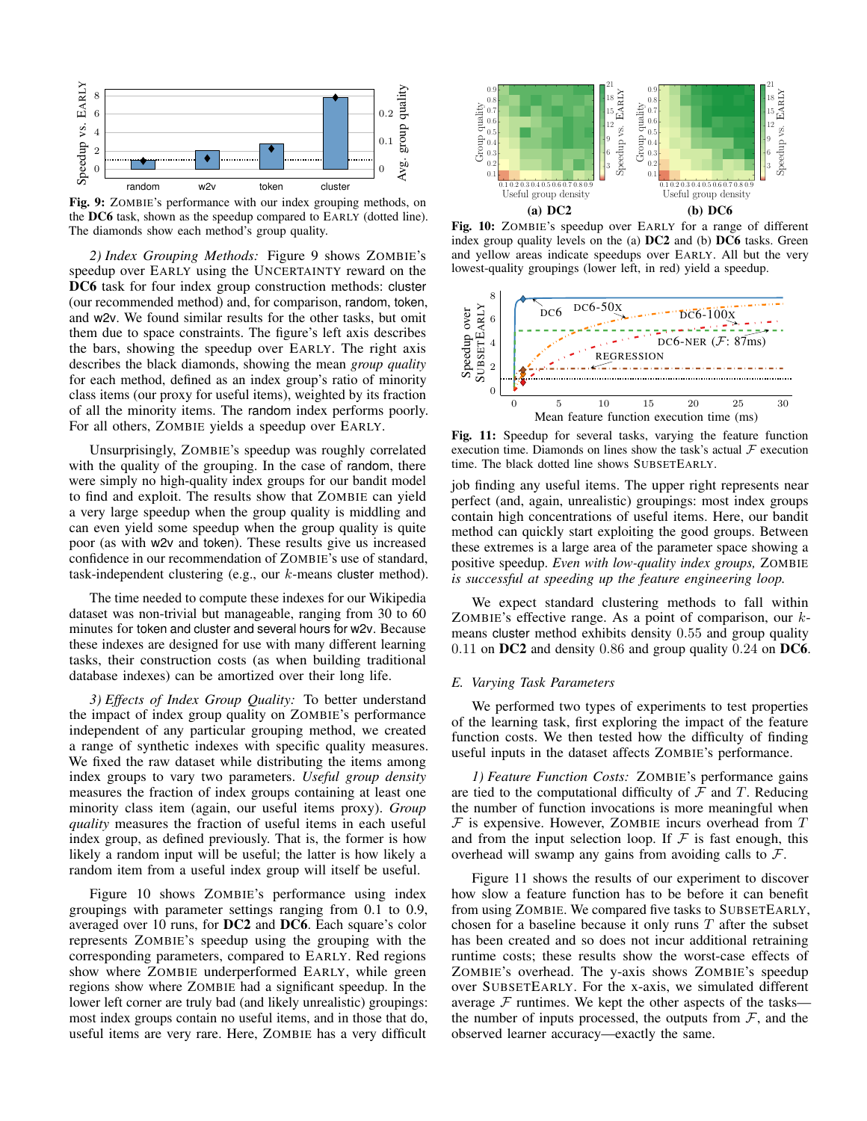

Fig. 9: ZOMBIE's performance with our index grouping methods, on the DC6 task, shown as the speedup compared to EARLY (dotted line). The diamonds show each method's group quality.

*2) Index Grouping Methods:* Figure 9 shows ZOMBIE's speedup over EARLY using the UNCERTAINTY reward on the DC6 task for four index group construction methods: cluster (our recommended method) and, for comparison, random, token, and w2v. We found similar results for the other tasks, but omit them due to space constraints. The figure's left axis describes the bars, showing the speedup over EARLY. The right axis describes the black diamonds, showing the mean *group quality* for each method, defined as an index group's ratio of minority class items (our proxy for useful items), weighted by its fraction of all the minority items. The random index performs poorly. For all others, ZOMBIE yields a speedup over EARLY.

Unsurprisingly, ZOMBIE's speedup was roughly correlated with the quality of the grouping. In the case of random, there were simply no high-quality index groups for our bandit model to find and exploit. The results show that ZOMBIE can yield a very large speedup when the group quality is middling and can even yield some speedup when the group quality is quite poor (as with w2v and token). These results give us increased confidence in our recommendation of ZOMBIE's use of standard, task-independent clustering (e.g., our  $k$ -means cluster method).

The time needed to compute these indexes for our Wikipedia dataset was non-trivial but manageable, ranging from 30 to 60 minutes for token and cluster and several hours for w2v. Because these indexes are designed for use with many different learning tasks, their construction costs (as when building traditional database indexes) can be amortized over their long life.

*3) Effects of Index Group Quality:* To better understand the impact of index group quality on ZOMBIE's performance independent of any particular grouping method, we created a range of synthetic indexes with specific quality measures. We fixed the raw dataset while distributing the items among index groups to vary two parameters. *Useful group density* measures the fraction of index groups containing at least one minority class item (again, our useful items proxy). *Group quality* measures the fraction of useful items in each useful index group, as defined previously. That is, the former is how likely a random input will be useful; the latter is how likely a random item from a useful index group will itself be useful.

Figure 10 shows ZOMBIE's performance using index groupings with parameter settings ranging from 0.1 to 0.9, averaged over 10 runs, for DC2 and DC6. Each square's color represents ZOMBIE's speedup using the grouping with the corresponding parameters, compared to EARLY. Red regions show where ZOMBIE underperformed EARLY, while green regions show where ZOMBIE had a significant speedup. In the lower left corner are truly bad (and likely unrealistic) groupings: most index groups contain no useful items, and in those that do, useful items are very rare. Here, ZOMBIE has a very difficult



Fig. 10: ZOMBIE's speedup over EARLY for a range of different index group quality levels on the (a) DC2 and (b) DC6 tasks. Green and yellow areas indicate speedups over EARLY. All but the very lowest-quality groupings (lower left, in red) yield a speedup.



Fig. 11: Speedup for several tasks, varying the feature function execution time. Diamonds on lines show the task's actual  $\mathcal F$  execution time. The black dotted line shows SUBSETEARLY.

job finding any useful items. The upper right represents near perfect (and, again, unrealistic) groupings: most index groups contain high concentrations of useful items. Here, our bandit method can quickly start exploiting the good groups. Between these extremes is a large area of the parameter space showing a positive speedup. *Even with low-quality index groups,* ZOMBIE *is successful at speeding up the feature engineering loop.*

We expect standard clustering methods to fall within ZOMBIE's effective range. As a point of comparison, our  $k$ means cluster method exhibits density 0.55 and group quality 0.11 on DC2 and density 0.86 and group quality 0.24 on DC6.

#### *E. Varying Task Parameters*

We performed two types of experiments to test properties of the learning task, first exploring the impact of the feature function costs. We then tested how the difficulty of finding useful inputs in the dataset affects ZOMBIE's performance.

*1) Feature Function Costs:* ZOMBIE's performance gains are tied to the computational difficulty of  $\mathcal F$  and  $T$ . Reducing the number of function invocations is more meaningful when  $F$  is expensive. However, ZOMBIE incurs overhead from  $T$ and from the input selection loop. If  $\mathcal F$  is fast enough, this overhead will swamp any gains from avoiding calls to  $\mathcal{F}$ .

Figure 11 shows the results of our experiment to discover how slow a feature function has to be before it can benefit from using ZOMBIE. We compared five tasks to SUBSETEARLY, chosen for a baseline because it only runs  $T$  after the subset has been created and so does not incur additional retraining runtime costs; these results show the worst-case effects of ZOMBIE's overhead. The y-axis shows ZOMBIE's speedup over SUBSETEARLY. For the x-axis, we simulated different average  $F$  runtimes. We kept the other aspects of the tasks the number of inputs processed, the outputs from  $F$ , and the observed learner accuracy—exactly the same.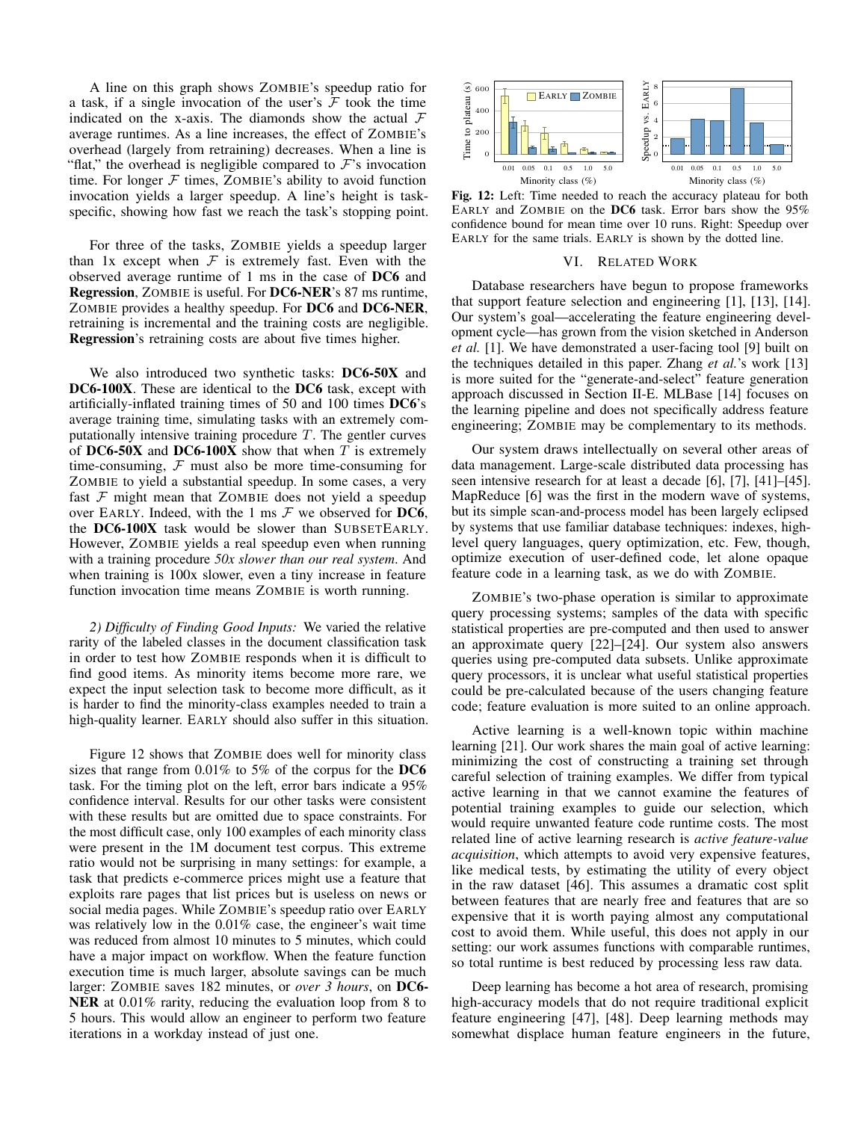A line on this graph shows ZOMBIE's speedup ratio for a task, if a single invocation of the user's  $\mathcal F$  took the time indicated on the x-axis. The diamonds show the actual  $\mathcal F$ average runtimes. As a line increases, the effect of ZOMBIE's overhead (largely from retraining) decreases. When a line is "flat," the overhead is negligible compared to  $\mathcal{F}$ 's invocation time. For longer  $F$  times, ZOMBIE's ability to avoid function invocation yields a larger speedup. A line's height is taskspecific, showing how fast we reach the task's stopping point.

For three of the tasks, ZOMBIE yields a speedup larger than 1x except when  $\mathcal F$  is extremely fast. Even with the observed average runtime of 1 ms in the case of DC6 and Regression, ZOMBIE is useful. For DC6-NER's 87 ms runtime, ZOMBIE provides a healthy speedup. For DC6 and DC6-NER, retraining is incremental and the training costs are negligible. Regression's retraining costs are about five times higher.

We also introduced two synthetic tasks: DC6-50X and DC6-100X. These are identical to the DC6 task, except with artificially-inflated training times of 50 and 100 times DC6's average training time, simulating tasks with an extremely computationally intensive training procedure  $T$ . The gentler curves of DC6-50X and DC6-100X show that when  $T$  is extremely time-consuming,  $F$  must also be more time-consuming for ZOMBIE to yield a substantial speedup. In some cases, a very fast  $F$  might mean that ZOMBIE does not yield a speedup over EARLY. Indeed, with the 1 ms  $\mathcal F$  we observed for DC6, the DC6-100X task would be slower than SUBSETEARLY. However, ZOMBIE yields a real speedup even when running with a training procedure *50x slower than our real system*. And when training is 100x slower, even a tiny increase in feature function invocation time means ZOMBIE is worth running.

*2) Difficulty of Finding Good Inputs:* We varied the relative rarity of the labeled classes in the document classification task in order to test how ZOMBIE responds when it is difficult to find good items. As minority items become more rare, we expect the input selection task to become more difficult, as it is harder to find the minority-class examples needed to train a high-quality learner. EARLY should also suffer in this situation.

Figure 12 shows that ZOMBIE does well for minority class sizes that range from 0.01% to 5% of the corpus for the DC6 task. For the timing plot on the left, error bars indicate a 95% confidence interval. Results for our other tasks were consistent with these results but are omitted due to space constraints. For the most difficult case, only 100 examples of each minority class were present in the 1M document test corpus. This extreme ratio would not be surprising in many settings: for example, a task that predicts e-commerce prices might use a feature that exploits rare pages that list prices but is useless on news or social media pages. While ZOMBIE's speedup ratio over EARLY was relatively low in the 0.01% case, the engineer's wait time was reduced from almost 10 minutes to 5 minutes, which could have a major impact on workflow. When the feature function execution time is much larger, absolute savings can be much larger: ZOMBIE saves 182 minutes, or *over 3 hours*, on DC6- NER at 0.01% rarity, reducing the evaluation loop from 8 to 5 hours. This would allow an engineer to perform two feature iterations in a workday instead of just one.



Fig. 12: Left: Time needed to reach the accuracy plateau for both EARLY and ZOMBIE on the DC6 task. Error bars show the 95% confidence bound for mean time over 10 runs. Right: Speedup over EARLY for the same trials. EARLY is shown by the dotted line.

#### VI. RELATED WORK

Database researchers have begun to propose frameworks that support feature selection and engineering [1], [13], [14]. Our system's goal—accelerating the feature engineering development cycle—has grown from the vision sketched in Anderson *et al.* [1]. We have demonstrated a user-facing tool [9] built on the techniques detailed in this paper. Zhang *et al.*'s work [13] is more suited for the "generate-and-select" feature generation approach discussed in Section II-E. MLBase [14] focuses on the learning pipeline and does not specifically address feature engineering; ZOMBIE may be complementary to its methods.

Our system draws intellectually on several other areas of data management. Large-scale distributed data processing has seen intensive research for at least a decade [6], [7], [41]–[45]. MapReduce [6] was the first in the modern wave of systems, but its simple scan-and-process model has been largely eclipsed by systems that use familiar database techniques: indexes, highlevel query languages, query optimization, etc. Few, though, optimize execution of user-defined code, let alone opaque feature code in a learning task, as we do with ZOMBIE.

ZOMBIE's two-phase operation is similar to approximate query processing systems; samples of the data with specific statistical properties are pre-computed and then used to answer an approximate query [22]–[24]. Our system also answers queries using pre-computed data subsets. Unlike approximate query processors, it is unclear what useful statistical properties could be pre-calculated because of the users changing feature code; feature evaluation is more suited to an online approach.

Active learning is a well-known topic within machine learning [21]. Our work shares the main goal of active learning: minimizing the cost of constructing a training set through careful selection of training examples. We differ from typical active learning in that we cannot examine the features of potential training examples to guide our selection, which would require unwanted feature code runtime costs. The most related line of active learning research is *active feature-value acquisition*, which attempts to avoid very expensive features, like medical tests, by estimating the utility of every object in the raw dataset [46]. This assumes a dramatic cost split between features that are nearly free and features that are so expensive that it is worth paying almost any computational cost to avoid them. While useful, this does not apply in our setting: our work assumes functions with comparable runtimes, so total runtime is best reduced by processing less raw data.

Deep learning has become a hot area of research, promising high-accuracy models that do not require traditional explicit feature engineering [47], [48]. Deep learning methods may somewhat displace human feature engineers in the future,